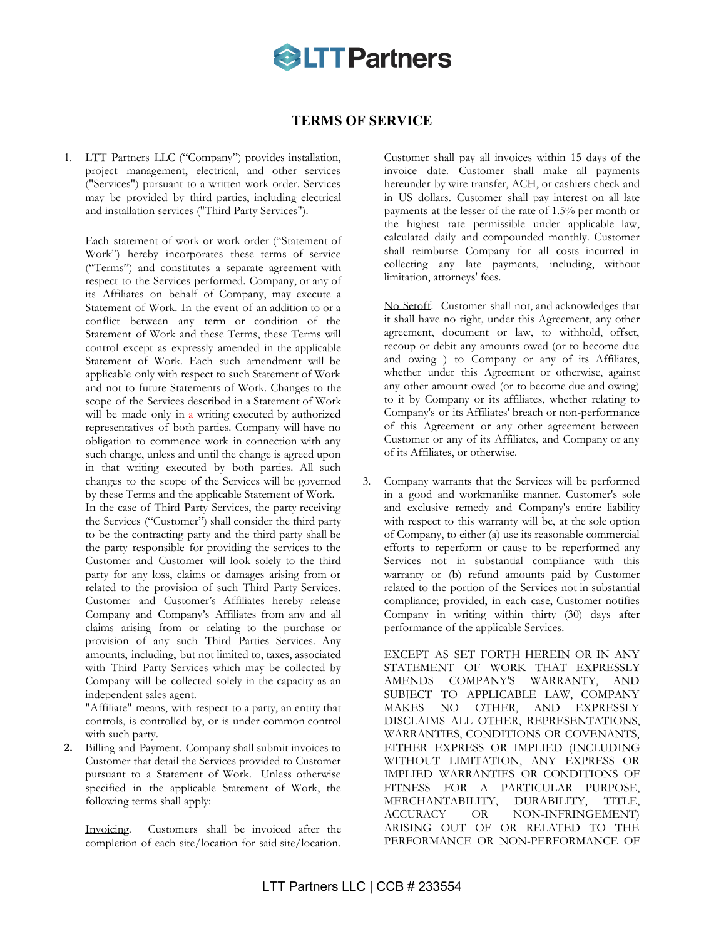

## **TERMS OF SERVICE**

1. LTT Partners LLC ("Company") provides installation, project management, electrical, and other services ("Services") pursuant to a written work order. Services may be provided by third parties, including electrical and installation services ("Third Party Services").

Each statement of work or work order ("Statement of Work") hereby incorporates these terms of service ("Terms") and constitutes a separate agreement with respect to the Services performed. Company, or any of its Affiliates on behalf of Company, may execute a Statement of Work. In the event of an addition to or a conflict between any term or condition of the Statement of Work and these Terms, these Terms will control except as expressly amended in the applicable Statement of Work. Each such amendment will be applicable only with respect to such Statement of Work and not to future Statements of Work. Changes to the scope of the Services described in a Statement of Work will be made only in  $\alpha$  writing executed by authorized representatives of both parties. Company will have no obligation to commence work in connection with any such change, unless and until the change is agreed upon in that writing executed by both parties. All such changes to the scope of the Services will be governed by these Terms and the applicable Statement of Work.

In the case of Third Party Services, the party receiving the Services ("Customer") shall consider the third party to be the contracting party and the third party shall be the party responsible for providing the services to the Customer and Customer will look solely to the third party for any loss, claims or damages arising from or related to the provision of such Third Party Services. Customer and Customer's Affiliates hereby release Company and Company's Affiliates from any and all claims arising from or relating to the purchase or provision of any such Third Parties Services. Any amounts, including, but not limited to, taxes, associated with Third Party Services which may be collected by Company will be collected solely in the capacity as an independent sales agent.

"Affiliate" means, with respect to a party, an entity that controls, is controlled by, or is under common control with such party.

**2.** Billing and Payment. Company shall submit invoices to Customer that detail the Services provided to Customer pursuant to a Statement of Work. Unless otherwise specified in the applicable Statement of Work, the following terms shall apply:

Invoicing. Customers shall be invoiced after the completion of each site/location for said site/location.

Customer shall pay all invoices within 15 days of the invoice date. Customer shall make all payments hereunder by wire transfer, ACH, or cashiers check and in US dollars. Customer shall pay interest on all late payments at the lesser of the rate of 1.5% per month or the highest rate permissible under applicable law, calculated daily and compounded monthly. Customer shall reimburse Company for all costs incurred in collecting any late payments, including, without limitation, attorneys' fees.

No Setoff. Customer shall not, and acknowledges that it shall have no right, under this Agreement, any other agreement, document or law, to withhold, offset, recoup or debit any amounts owed (or to become due and owing ) to Company or any of its Affiliates, whether under this Agreement or otherwise, against any other amount owed (or to become due and owing) to it by Company or its affiliates, whether relating to Company's or its Affiliates' breach or non-performance of this Agreement or any other agreement between Customer or any of its Affiliates, and Company or any of its Affiliates, or otherwise.

3. Company warrants that the Services will be performed in a good and workmanlike manner. Customer's sole and exclusive remedy and Company's entire liability with respect to this warranty will be, at the sole option of Company, to either (a) use its reasonable commercial efforts to reperform or cause to be reperformed any Services not in substantial compliance with this warranty or (b) refund amounts paid by Customer related to the portion of the Services not in substantial compliance; provided, in each case, Customer notifies Company in writing within thirty (30) days after performance of the applicable Services.

EXCEPT AS SET FORTH HEREIN OR IN ANY STATEMENT OF WORK THAT EXPRESSLY AMENDS COMPANY'S WARRANTY, AND SUBJECT TO APPLICABLE LAW, COMPANY MAKES NO OTHER, AND EXPRESSLY DISCLAIMS ALL OTHER, REPRESENTATIONS, WARRANTIES, CONDITIONS OR COVENANTS, EITHER EXPRESS OR IMPLIED (INCLUDING WITHOUT LIMITATION, ANY EXPRESS OR IMPLIED WARRANTIES OR CONDITIONS OF FITNESS FOR A PARTICULAR PURPOSE, MERCHANTABILITY, DURABILITY, TITLE, ACCURACY OR NON-INFRINGEMENT) ARISING OUT OF OR RELATED TO THE PERFORMANCE OR NON-PERFORMANCE OF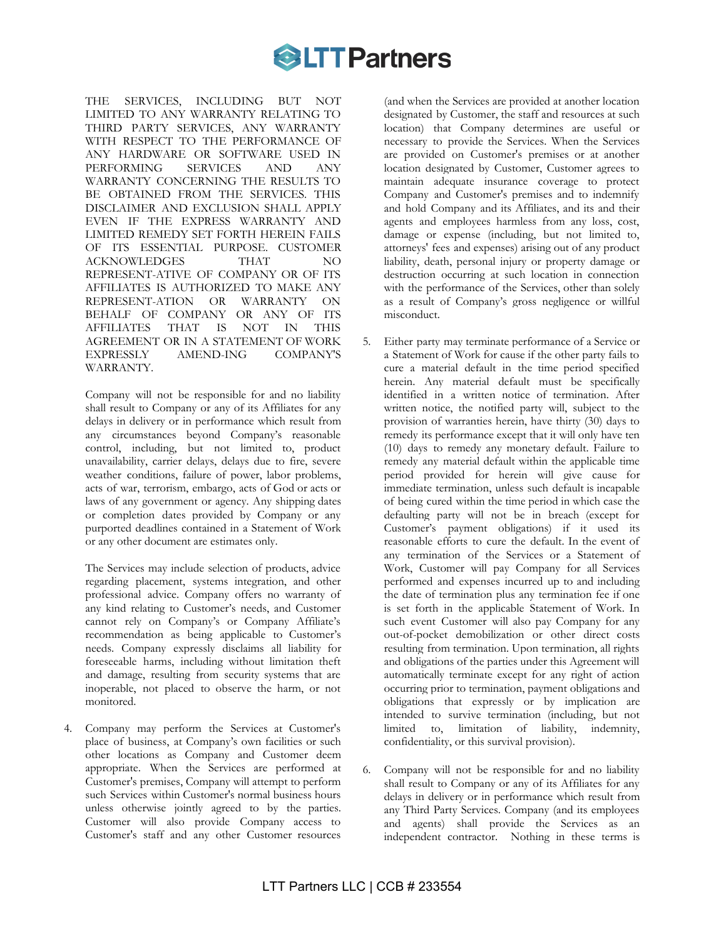

THE SERVICES, INCLUDING BUT NOT LIMITED TO ANY WARRANTY RELATING TO THIRD PARTY SERVICES, ANY WARRANTY WITH RESPECT TO THE PERFORMANCE OF ANY HARDWARE OR SOFTWARE USED IN PERFORMING SERVICES AND ANY PERFORMING SERVICES AND ANY WARRANTY CONCERNING THE RESULTS TO BE OBTAINED FROM THE SERVICES. THIS DISCLAIMER AND EXCLUSION SHALL APPLY EVEN IF THE EXPRESS WARRANTY AND LIMITED REMEDY SET FORTH HEREIN FAILS OF ITS ESSENTIAL PURPOSE. CUSTOMER ACKNOWLEDGES THAT NO REPRESENT-ATIVE OF COMPANY OR OF ITS AFFILIATES IS AUTHORIZED TO MAKE ANY REPRESENT-ATION OR WARRANTY ON BEHALF OF COMPANY OR ANY OF ITS AFFILIATES THAT IS NOT IN THIS AGREEMENT OR IN A STATEMENT OF WORK EXPRESSLY AMEND-ING COMPANY'S WARRANTY.

Company will not be responsible for and no liability shall result to Company or any of its Affiliates for any delays in delivery or in performance which result from any circumstances beyond Company's reasonable control, including, but not limited to, product unavailability, carrier delays, delays due to fire, severe weather conditions, failure of power, labor problems, acts of war, terrorism, embargo, acts of God or acts or laws of any government or agency. Any shipping dates or completion dates provided by Company or any purported deadlines contained in a Statement of Work or any other document are estimates only.

The Services may include selection of products, advice regarding placement, systems integration, and other professional advice. Company offers no warranty of any kind relating to Customer's needs, and Customer cannot rely on Company's or Company Affiliate's recommendation as being applicable to Customer's needs. Company expressly disclaims all liability for foreseeable harms, including without limitation theft and damage, resulting from security systems that are inoperable, not placed to observe the harm, or not monitored.

4. Company may perform the Services at Customer's place of business, at Company's own facilities or such other locations as Company and Customer deem appropriate. When the Services are performed at Customer's premises, Company will attempt to perform such Services within Customer's normal business hours unless otherwise jointly agreed to by the parties. Customer will also provide Company access to Customer's staff and any other Customer resources

(and when the Services are provided at another location designated by Customer, the staff and resources at such location) that Company determines are useful or necessary to provide the Services. When the Services are provided on Customer's premises or at another location designated by Customer, Customer agrees to maintain adequate insurance coverage to protect Company and Customer's premises and to indemnify and hold Company and its Affiliates, and its and their agents and employees harmless from any loss, cost, damage or expense (including, but not limited to, attorneys' fees and expenses) arising out of any product liability, death, personal injury or property damage or destruction occurring at such location in connection with the performance of the Services, other than solely as a result of Company's gross negligence or willful misconduct.

- 5. Either party may terminate performance of a Service or a Statement of Work for cause if the other party fails to cure a material default in the time period specified herein. Any material default must be specifically identified in a written notice of termination. After written notice, the notified party will, subject to the provision of warranties herein, have thirty (30) days to remedy its performance except that it will only have ten (10) days to remedy any monetary default. Failure to remedy any material default within the applicable time period provided for herein will give cause for immediate termination, unless such default is incapable of being cured within the time period in which case the defaulting party will not be in breach (except for Customer's payment obligations) if it used its reasonable efforts to cure the default. In the event of any termination of the Services or a Statement of Work, Customer will pay Company for all Services performed and expenses incurred up to and including the date of termination plus any termination fee if one is set forth in the applicable Statement of Work. In such event Customer will also pay Company for any out-of-pocket demobilization or other direct costs resulting from termination. Upon termination, all rights and obligations of the parties under this Agreement will automatically terminate except for any right of action occurring prior to termination, payment obligations and obligations that expressly or by implication are intended to survive termination (including, but not limited to, limitation of liability, indemnity, confidentiality, or this survival provision).
- 6. Company will not be responsible for and no liability shall result to Company or any of its Affiliates for any delays in delivery or in performance which result from any Third Party Services. Company (and its employees and agents) shall provide the Services as an independent contractor. Nothing in these terms is